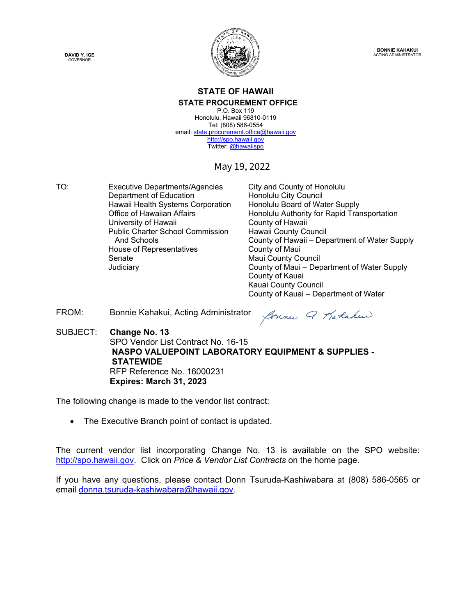



**BONNIE KAHAKUI** ACTING ADMINISTRATOR

#### **STATE OF HAWAII STATE PROCUREMENT OFFICE**

P.O. Box 119 Honolulu, Hawaii 96810-0119 Tel: (808) 586-0554 email: state.procurement.office@hawaii.gov [http://spo.hawaii.gov](http://spo.hawaii.gov/)  Twitter[: @hawaiispo](https://twitter.com/hawaiispo) 

#### May 19, 2022

TO: Executive Departments/Agencies City and County of Honolulu Department of Education Free Consolulu City Council<br>Hawaii Health Systems Corporation Free Honolulu Board of Water Supply Hawaii Health Systems Corporation<br>Office of Hawaiian Affairs University of Hawaii **County of Hawaii** County of Hawaii Public Charter School Commission Hawaii County Council House of Representatives **County of Maui** Senate Maui County Council

Honolulu Authority for Rapid Transportation County of Hawaii – Department of Water Supply County of Maui – Department of Water Supply County of Kauai Kauai County Council County of Kauai – Department of Water

FROM: Bonnie Kahakui, Acting Administrator

Sounce Q Karlakeer

SUBJECT: **Change No. 13**  SPO Vendor List Contract No. 16-15 **NASPO VALUEPOINT LABORATORY EQUIPMENT & SUPPLIES - STATEWIDE** RFP Reference No. 16000231  **Expires: March 31, 2023** 

The following change is made to the vendor list contract:

• The Executive Branch point of contact is updated.

The current vendor list incorporating Change No. 13 is available on the SPO website: [http://spo.hawaii.gov.](http://spo.hawaii.gov/) Click on *Price & Vendor List Contracts* on the home page.

If you have any questions, please contact Donn Tsuruda-Kashiwabara at (808) 586-0565 or email [donna.tsuruda-kashiwabara@hawaii.gov.](mailto:donna.tsuruda-kashiwabara@hawaii.gov)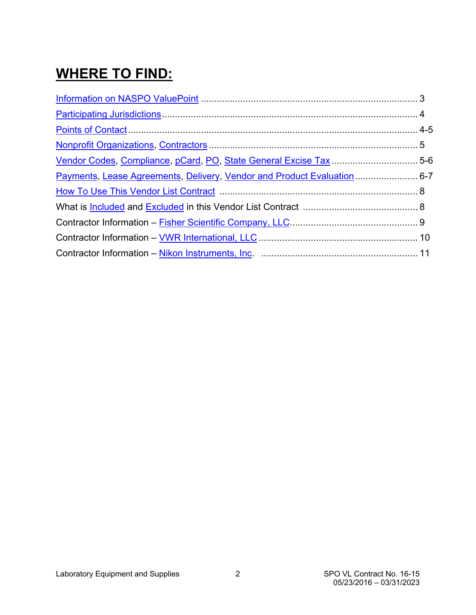# **WHERE TO FIND:**

| Vendor Codes, Compliance, pCard, PO, State General Excise Tax  5-6       |
|--------------------------------------------------------------------------|
| Payments, Lease Agreements, Delivery, Vendor and Product Evaluation  6-7 |
|                                                                          |
|                                                                          |
|                                                                          |
|                                                                          |
|                                                                          |
|                                                                          |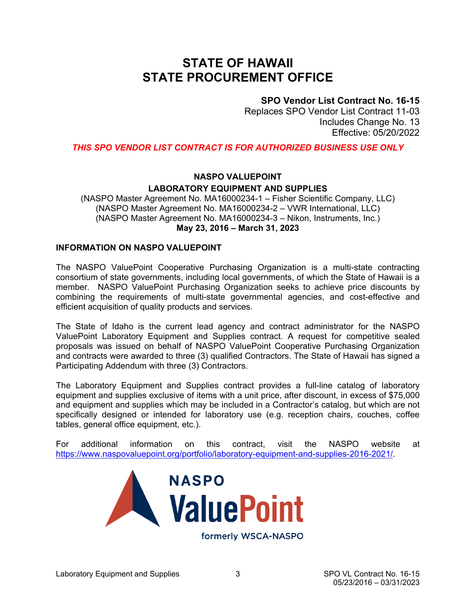## <span id="page-2-0"></span>**STATE OF HAWAII STATE PROCUREMENT OFFICE**

#### **SPO Vendor List Contract No. 16-15**

Replaces SPO Vendor List Contract 11-03 Includes Change No. 13 Effective: 05/20/2022

*THIS SPO VENDOR LIST CONTRACT IS FOR AUTHORIZED BUSINESS USE ONLY*

### **NASPO VALUEPOINT LABORATORY EQUIPMENT AND SUPPLIES**

(NASPO Master Agreement No. MA16000234-1 – Fisher Scientific Company, LLC) (NASPO Master Agreement No. MA16000234-2 – VWR International, LLC) (NASPO Master Agreement No. MA16000234-3 – Nikon, Instruments, Inc.) **May 23, 2016 – March 31, 2023** 

#### **INFORMATION ON NASPO VALUEPOINT**

The NASPO ValuePoint Cooperative Purchasing Organization is a multi-state contracting consortium of state governments, including local governments, of which the State of Hawaii is a member. NASPO ValuePoint Purchasing Organization seeks to achieve price discounts by combining the requirements of multi-state governmental agencies, and cost-effective and efficient acquisition of quality products and services.

The State of Idaho is the current lead agency and contract administrator for the NASPO ValuePoint Laboratory Equipment and Supplies contract. A request for competitive sealed proposals was issued on behalf of NASPO ValuePoint Cooperative Purchasing Organization and contracts were awarded to three (3) qualified Contractors. The State of Hawaii has signed a Participating Addendum with three (3) Contractors.

The Laboratory Equipment and Supplies contract provides a full-line catalog of laboratory equipment and supplies exclusive of items with a unit price, after discount, in excess of \$75,000 and equipment and supplies which may be included in a Contractor's catalog, but which are not specifically designed or intended for laboratory use (e.g. reception chairs, couches, coffee tables, general office equipment, etc.).

For additional information on this contract, visit the NASPO website at [https://www.naspovaluepoint.org/portfolio/laboratory-equipment-and-supplies-2016-2021/.](https://www.naspovaluepoint.org/portfolio/laboratory-equipment-and-supplies-2016-2021/)

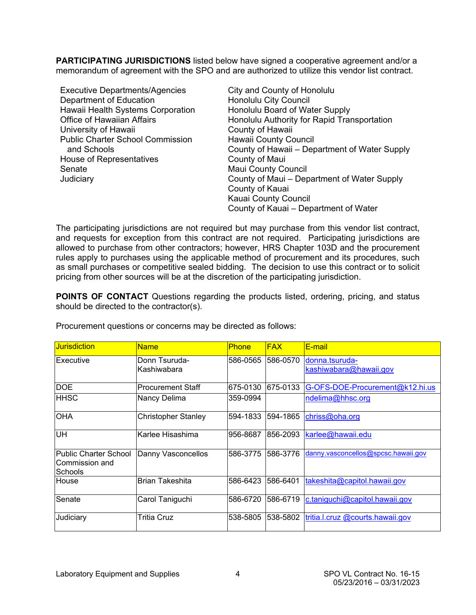<span id="page-3-0"></span>**PARTICIPATING JURISDICTIONS** listed below have signed a cooperative agreement and/or a memorandum of agreement with the SPO and are authorized to utilize this vendor list contract.

| <b>Executive Departments/Agencies</b>   | City and County of Honolulu                   |
|-----------------------------------------|-----------------------------------------------|
| Department of Education                 | Honolulu City Council                         |
| Hawaii Health Systems Corporation       | Honolulu Board of Water Supply                |
| <b>Office of Hawaiian Affairs</b>       | Honolulu Authority for Rapid Transportation   |
| University of Hawaii                    | County of Hawaii                              |
| <b>Public Charter School Commission</b> | <b>Hawaii County Council</b>                  |
| and Schools                             | County of Hawaii – Department of Water Supply |
| House of Representatives                | County of Maui                                |
| Senate                                  | <b>Maui County Council</b>                    |
| Judiciary                               | County of Maui – Department of Water Supply   |
|                                         | County of Kauai                               |
|                                         | Kauai County Council                          |
|                                         | County of Kauai – Department of Water         |

The participating jurisdictions are not required but may purchase from this vendor list contract, and requests for exception from this contract are not required. Participating jurisdictions are allowed to purchase from other contractors; however, HRS Chapter 103D and the procurement rules apply to purchases using the applicable method of procurement and its procedures, such as small purchases or competitive sealed bidding. The decision to use this contract or to solicit pricing from other sources will be at the discretion of the participating jurisdiction.

**POINTS OF CONTACT** Questions regarding the products listed, ordering, pricing, and status should be directed to the contractor(s).

| <b>Jurisdiction</b>                                        | <b>Name</b>                | <b>Phone</b> | <b>FAX</b> | E-mail                              |
|------------------------------------------------------------|----------------------------|--------------|------------|-------------------------------------|
| IExecutive                                                 | Donn Tsuruda-              | 586-0565     | 1586-0570  | donna.tsuruda-                      |
|                                                            | Kashiwabara                |              |            | kashiwabara@hawaii.gov              |
| <b>DOE</b>                                                 | <b>Procurement Staff</b>   | 675-0130     | 675-0133   | G-OFS-DOE-Procurement@k12.hi.us     |
| <b>HHSC</b>                                                | Nancy Delima               | 359-0994     |            | ndelima@hhsc.org                    |
| <b>OHA</b>                                                 | <b>Christopher Stanley</b> | 594-1833     | 594-1865   | chriss@oha.org                      |
| UH                                                         | Karlee Hisashima           | 956-8687     | 856-2093   | karlee@hawaii.edu                   |
| Public Charter School<br>lCommission and<br><b>Schools</b> | Danny Vasconcellos         | 586-3775     | 586-3776   | danny.vasconcellos@spcsc.hawaii.gov |
| <b>House</b>                                               | <b>Brian Takeshita</b>     | 586-6423     | 586-6401   | takeshita@capitol.hawaii.gov        |
| Senate                                                     | Carol Taniguchi            | 586-6720     | 586-6719   | c.taniguchi@capitol.hawaii.gov      |
| Judiciary                                                  | <b>Tritia Cruz</b>         | 538-5805     | 538-5802   | tritia.l.cruz @courts.hawaii.gov    |

Procurement questions or concerns may be directed as follows: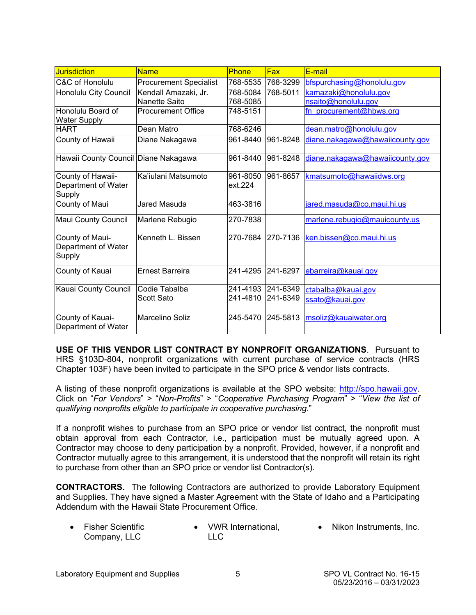<span id="page-4-0"></span>

| <b>Jurisdiction</b>                                | <b>Name</b>                           | <b>Phone</b>         | <b>Fax</b>           | E-mail                                       |
|----------------------------------------------------|---------------------------------------|----------------------|----------------------|----------------------------------------------|
| C&C of Honolulu                                    | <b>Procurement Specialist</b>         | 768-5535             | 768-3299             | bfspurchasing@honolulu.gov                   |
| Honolulu City Council                              | Kendall Amazaki, Jr.<br>Nanette Saito | 768-5084<br>768-5085 | 768-5011             | kamazaki@honolulu.gov<br>nsaito@honolulu.gov |
| Honolulu Board of<br><b>Water Supply</b>           | <b>Procurement Office</b>             | 748-5151             |                      | fn procurement@hbws.org                      |
| <b>HART</b>                                        | Dean Matro                            | 768-6246             |                      | dean.matro@honolulu.gov                      |
| County of Hawaii                                   | Diane Nakagawa                        | 961-8440             | 961-8248             | diane.nakagawa@hawaiicounty.gov              |
| Hawaii County Council Diane Nakagawa               |                                       | 961-8440             | 961-8248             | diane.nakagawa@hawaiicounty.gov              |
| County of Hawaii-<br>Department of Water<br>Supply | Ka'iulani Matsumoto                   | 961-8050<br>ext.224  | 961-8657             | kmatsumoto@hawaiidws.org                     |
| County of Maui                                     | Jared Masuda                          | 463-3816             |                      | jared.masuda@co.maui.hi.us                   |
| Maui County Council                                | Marlene Rebugio                       | 270-7838             |                      | marlene.rebugio@mauicounty.us                |
| County of Maui-<br>Department of Water<br>Supply   | Kenneth L. Bissen                     | 270-7684             | 270-7136             | ken.bissen@co.maui.hi.us                     |
| County of Kauai                                    | <b>Ernest Barreira</b>                | 241-4295             | 241-6297             | ebarreira@kauai.gov                          |
| Kauai County Council                               | Codie Tabalba<br><b>Scott Sato</b>    | 241-4193<br>241-4810 | 241-6349<br>241-6349 | ctabalba@kauai.gov<br>ssato@kauai.gov        |
| County of Kauai-<br>Department of Water            | Marcelino Soliz                       | 245-5470             | 245-5813             | msoliz@kauaiwater.org                        |

**USE OF THIS VENDOR LIST CONTRACT BY NONPROFIT ORGANIZATIONS**. Pursuant to HRS §103D-804, nonprofit organizations with current purchase of service contracts (HRS Chapter 103F) have been invited to participate in the SPO price & vendor lists contracts.

A listing of these nonprofit organizations is available at the SPO website: [http://spo.hawaii.gov.](http://spo.hawaii.gov/) Click on "*For Vendors*" > "*Non-Profits*" > "*Cooperative Purchasing Program*" > "*View the list of qualifying nonprofits eligible to participate in cooperative purchasing*."

If a nonprofit wishes to purchase from an SPO price or vendor list contract, the nonprofit must obtain approval from each Contractor, i.e., participation must be mutually agreed upon. A Contractor may choose to deny participation by a nonprofit. Provided, however, if a nonprofit and Contractor mutually agree to this arrangement, it is understood that the nonprofit will retain its right to purchase from other than an SPO price or vendor list Contractor(s).

**CONTRACTORS.** The following Contractors are authorized to provide Laboratory Equipment and Supplies. They have signed a Master Agreement with the State of Idaho and a Participating Addendum with the Hawaii State Procurement Office.

• Fisher Scientific Company, LLC • VWR International. LLC • Nikon Instruments, Inc.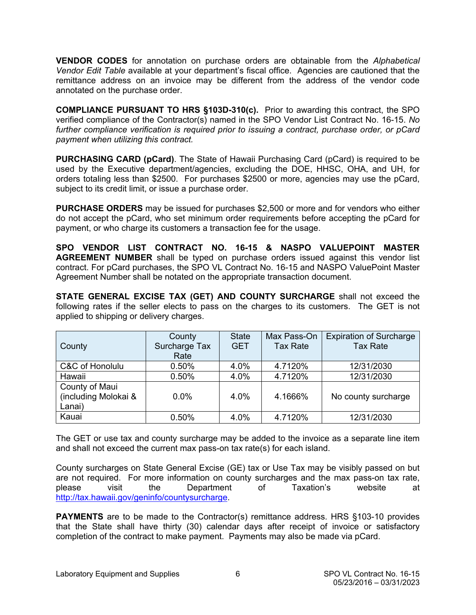<span id="page-5-0"></span>**VENDOR CODES** for annotation on purchase orders are obtainable from the *Alphabetical Vendor Edit Table* available at your department's fiscal office. Agencies are cautioned that the remittance address on an invoice may be different from the address of the vendor code annotated on the purchase order.

**COMPLIANCE PURSUANT TO HRS §103D-310(c).** Prior to awarding this contract, the SPO verified compliance of the Contractor(s) named in the SPO Vendor List Contract No. 16-15. *No further compliance verification is required prior to issuing a contract, purchase order, or pCard payment when utilizing this contract.*

**PURCHASING CARD (pCard)**. The State of Hawaii Purchasing Card (pCard) is required to be used by the Executive department/agencies, excluding the DOE, HHSC, OHA, and UH, for orders totaling less than \$2500. For purchases \$2500 or more, agencies may use the pCard, subject to its credit limit, or issue a purchase order.

**PURCHASE ORDERS** may be issued for purchases \$2,500 or more and for vendors who either do not accept the pCard, who set minimum order requirements before accepting the pCard for payment, or who charge its customers a transaction fee for the usage.

**SPO VENDOR LIST CONTRACT NO. 16-15 & NASPO VALUEPOINT MASTER AGREEMENT NUMBER** shall be typed on purchase orders issued against this vendor list contract. For pCard purchases, the SPO VL Contract No. 16-15 and NASPO ValuePoint Master Agreement Number shall be notated on the appropriate transaction document.

**STATE GENERAL EXCISE TAX (GET) AND COUNTY SURCHARGE** shall not exceed the following rates if the seller elects to pass on the charges to its customers. The GET is not applied to shipping or delivery charges.

| County                                           | County<br>Surcharge Tax<br>Rate | <b>State</b><br><b>GET</b> | Max Pass-On<br><b>Tax Rate</b> | <b>Expiration of Surcharge</b><br><b>Tax Rate</b> |
|--------------------------------------------------|---------------------------------|----------------------------|--------------------------------|---------------------------------------------------|
| C&C of Honolulu                                  | 0.50%                           | 4.0%                       | 4.7120%                        | 12/31/2030                                        |
| Hawaii                                           | 0.50%                           | 4.0%                       | 4.7120%                        | 12/31/2030                                        |
| County of Maui<br>(including Molokai &<br>Lanai) | $0.0\%$                         | 4.0%                       | 4.1666%                        | No county surcharge                               |
| Kauai                                            | 0.50%                           | 4.0%                       | 4.7120%                        | 12/31/2030                                        |

The GET or use tax and county surcharge may be added to the invoice as a separate line item and shall not exceed the current max pass-on tax rate(s) for each island.

County surcharges on State General Excise (GE) tax or Use Tax may be visibly passed on but are not required. For more information on county surcharges and the max pass-on tax rate,<br>
please visit the Department of Taxation's website at please visit the Department of Taxation's website at [http://tax.hawaii.gov/geninfo/countysurcharge.](http://tax.hawaii.gov/geninfo/countysurcharge)

**PAYMENTS** are to be made to the Contractor(s) remittance address. HRS §103-10 provides that the State shall have thirty (30) calendar days after receipt of invoice or satisfactory completion of the contract to make payment. Payments may also be made via pCard.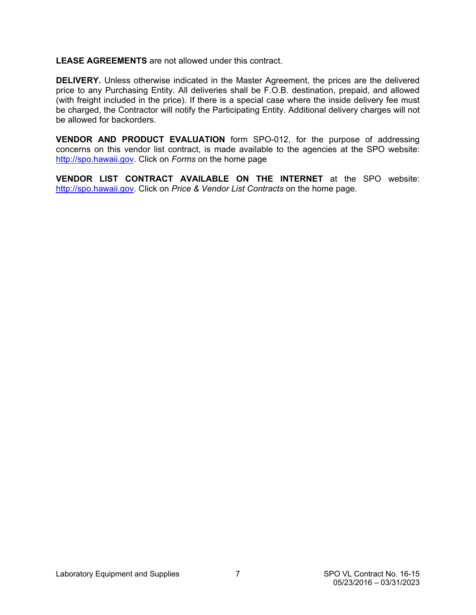<span id="page-6-0"></span>**LEASE AGREEMENTS** are not allowed under this contract.

**DELIVERY.** Unless otherwise indicated in the Master Agreement, the prices are the delivered price to any Purchasing Entity. All deliveries shall be F.O.B. destination, prepaid, and allowed (with freight included in the price). If there is a special case where the inside delivery fee must be charged, the Contractor will notify the Participating Entity. Additional delivery charges will not be allowed for backorders.

**VENDOR AND PRODUCT EVALUATION** form SPO-012, for the purpose of addressing concerns on this vendor list contract, is made available to the agencies at the SPO website: [http://spo.hawaii.gov.](http://spo.hawaii.gov/) Click on *Forms* on the home page

**VENDOR LIST CONTRACT AVAILABLE ON THE INTERNET** at the SPO website: [http://spo.hawaii.gov.](http://spo.hawaii.gov/) Click on *Price & Vendor List Contracts* on the home page.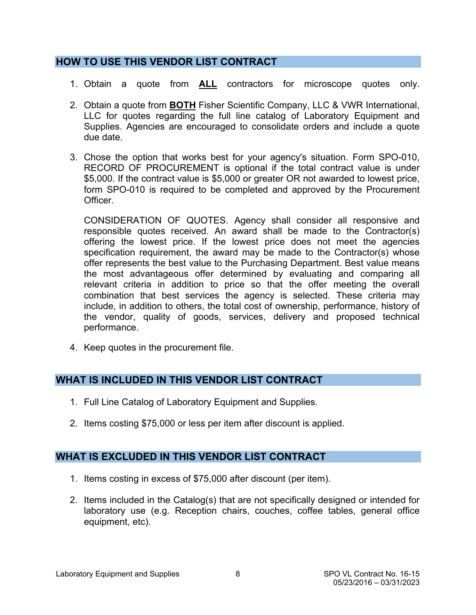### <span id="page-7-0"></span>**HOW TO USE THIS VENDOR LIST CONTRACT**

- 1. Obtain a quote from **ALL** contractors for microscope quotes only.
- 2. Obtain a quote from **BOTH** Fisher Scientific Company, LLC & VWR International, LLC for quotes regarding the full line catalog of Laboratory Equipment and Supplies. Agencies are encouraged to consolidate orders and include a quote due date.
- 3. Chose the option that works best for your agency's situation. Form SPO-010, RECORD OF PROCUREMENT is optional if the total contract value is under \$5,000. If the contract value is \$5,000 or greater OR not awarded to lowest price, form SPO-010 is required to be completed and approved by the Procurement Officer.

CONSIDERATION OF QUOTES. Agency shall consider all responsive and responsible quotes received. An award shall be made to the Contractor(s) offering the lowest price. If the lowest price does not meet the agencies specification requirement, the award may be made to the Contractor(s) whose offer represents the best value to the Purchasing Department. Best value means the most advantageous offer determined by evaluating and comparing all relevant criteria in addition to price so that the offer meeting the overall combination that best services the agency is selected. These criteria may include, in addition to others, the total cost of ownership, performance, history of the vendor, quality of goods, services, delivery and proposed technical performance.

4. Keep quotes in the procurement file.

### **WHAT IS INCLUDED IN THIS VENDOR LIST CONTRACT**

- 1. Full Line Catalog of Laboratory Equipment and Supplies.
- 2. Items costing \$75,000 or less per item after discount is applied.

#### **WHAT IS EXCLUDED IN THIS VENDOR LIST CONTRACT**

- 1. Items costing in excess of \$75,000 after discount (per item).
- 2. Items included in the Catalog(s) that are not specifically designed or intended for laboratory use (e.g. Reception chairs, couches, coffee tables, general office equipment, etc).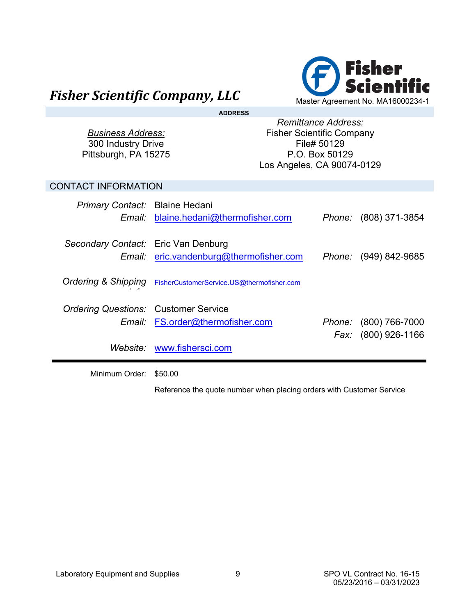<span id="page-8-0"></span>

| <b>ADDRESS</b>                                                         |                                           |                                                                                                                               |                                              |  |  |
|------------------------------------------------------------------------|-------------------------------------------|-------------------------------------------------------------------------------------------------------------------------------|----------------------------------------------|--|--|
| <b>Business Address:</b><br>300 Industry Drive<br>Pittsburgh, PA 15275 |                                           | <b>Remittance Address:</b><br><b>Fisher Scientific Company</b><br>File# 50129<br>P.O. Box 50129<br>Los Angeles, CA 90074-0129 |                                              |  |  |
| <b>CONTACT INFORMATION</b>                                             |                                           |                                                                                                                               |                                              |  |  |
| Primary Contact: Blaine Hedani                                         | Email blaine.hedani@thermofisher.com      |                                                                                                                               | <i>Phone:</i> (808) 371-3854                 |  |  |
| Secondary Contact: Eric Van Denburg                                    | Email: eric.vandenburg@thermofisher.com   |                                                                                                                               | Phone: (949) 842-9685                        |  |  |
| <b>Ordering &amp; Shipping</b>                                         | FisherCustomerService.US@thermofisher.com |                                                                                                                               |                                              |  |  |
| <b>Ordering Questions: Customer Service</b><br>Email:                  | FS.order@thermofisher.com                 |                                                                                                                               | Phone: (800) 766-7000<br>Fax: (800) 926-1166 |  |  |
|                                                                        | Website: www.fishersci.com                |                                                                                                                               |                                              |  |  |

Minimum Order: \$50.00

Reference the quote number when placing orders with Customer Service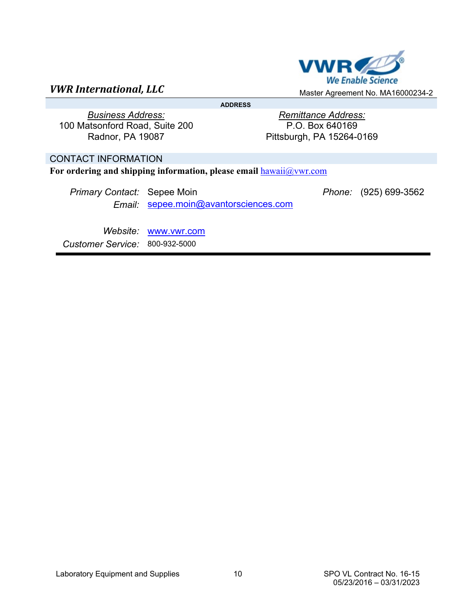<span id="page-9-0"></span>

**ADDRESS** 

*Business Address:* 100 Matsonford Road, Suite 200 Radnor, PA 19087

*Remittance Address:* P.O. Box 640169 Pittsburgh, PA 15264-0169

#### CONTACT INFORMATION

For ordering and shipping information, please email  $hawaii@vwr.com$ 

| <i>Primary Contact:</i> Sepee Moin |                                              | Phone: (925) 699-3562 |
|------------------------------------|----------------------------------------------|-----------------------|
|                                    | <i>Email: sepee.moin@avantorsciences.com</i> |                       |

*Website:* [www.vwr.com](http://www.vwr.com/) *Customer Service:* 800-932-5000